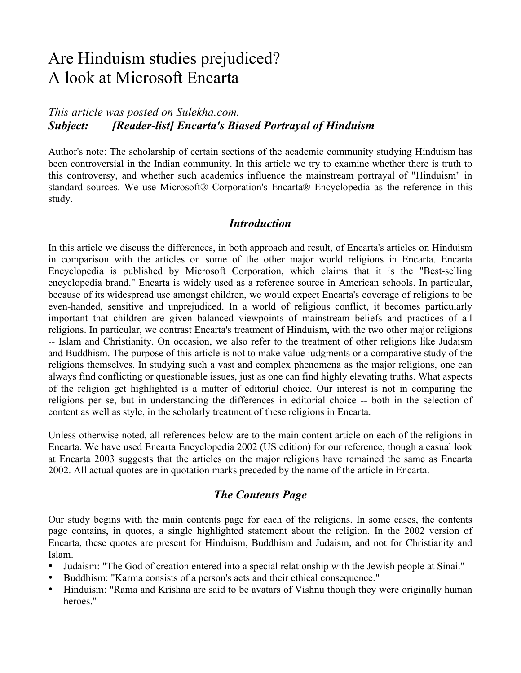# Are Hinduism studies prejudiced? A look at Microsoft Encarta

# *This article was posted on Sulekha.com. Subject: [Reader-list] Encarta's Biased Portrayal of Hinduism*

Author's note: The scholarship of certain sections of the academic community studying Hinduism has been controversial in the Indian community. In this article we try to examine whether there is truth to this controversy, and whether such academics influence the mainstream portrayal of "Hinduism" in standard sources. We use Microsoft® Corporation's Encarta® Encyclopedia as the reference in this study.

### *Introduction*

In this article we discuss the differences, in both approach and result, of Encarta's articles on Hinduism in comparison with the articles on some of the other major world religions in Encarta. Encarta Encyclopedia is published by Microsoft Corporation, which claims that it is the "Best-selling encyclopedia brand." Encarta is widely used as a reference source in American schools. In particular, because of its widespread use amongst children, we would expect Encarta's coverage of religions to be even-handed, sensitive and unprejudiced. In a world of religious conflict, it becomes particularly important that children are given balanced viewpoints of mainstream beliefs and practices of all religions. In particular, we contrast Encarta's treatment of Hinduism, with the two other major religions -- Islam and Christianity. On occasion, we also refer to the treatment of other religions like Judaism and Buddhism. The purpose of this article is not to make value judgments or a comparative study of the religions themselves. In studying such a vast and complex phenomena as the major religions, one can always find conflicting or questionable issues, just as one can find highly elevating truths. What aspects of the religion get highlighted is a matter of editorial choice. Our interest is not in comparing the religions per se, but in understanding the differences in editorial choice -- both in the selection of content as well as style, in the scholarly treatment of these religions in Encarta.

Unless otherwise noted, all references below are to the main content article on each of the religions in Encarta. We have used Encarta Encyclopedia 2002 (US edition) for our reference, though a casual look at Encarta 2003 suggests that the articles on the major religions have remained the same as Encarta 2002. All actual quotes are in quotation marks preceded by the name of the article in Encarta.

# *The Contents Page*

Our study begins with the main contents page for each of the religions. In some cases, the contents page contains, in quotes, a single highlighted statement about the religion. In the 2002 version of Encarta, these quotes are present for Hinduism, Buddhism and Judaism, and not for Christianity and Islam.

- Judaism: "The God of creation entered into a special relationship with the Jewish people at Sinai."
- Buddhism: "Karma consists of a person's acts and their ethical consequence."
- Hinduism: "Rama and Krishna are said to be avatars of Vishnu though they were originally human heroes."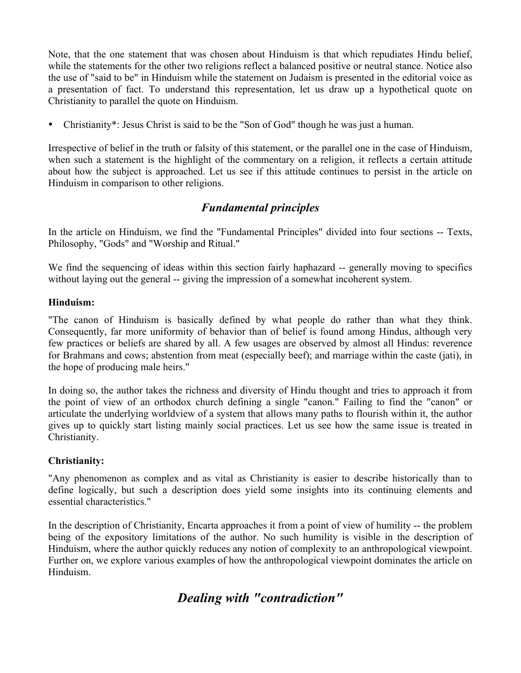Note, that the one statement that was chosen about Hinduism is that which repudiates Hindu belief, while the statements for the other two religions reflect a balanced positive or neutral stance. Notice also the use of "said to be" in Hinduism while the statement on Judaism is presented in the editorial voice as a presentation of fact. To understand this representation, let us draw up a hypothetical quote on Christianity to parallel the quote on Hinduism.

• Christianity\*: Jesus Christ is said to be the "Son of God" though he was just a human.

Irrespective of belief in the truth or falsity of this statement, or the parallel one in the case of Hinduism, when such a statement is the highlight of the commentary on a religion, it reflects a certain attitude about how the subject is approached. Let us see if this attitude continues to persist in the article on Hinduism in comparison to other religions.

# *Fundamental principles*

In the article on Hinduism, we find the "Fundamental Principles" divided into four sections -- Texts, Philosophy, "Gods" and "Worship and Ritual."

We find the sequencing of ideas within this section fairly haphazard -- generally moving to specifics without laying out the general -- giving the impression of a somewhat incoherent system.

### **Hinduism:**

"The canon of Hinduism is basically defined by what people do rather than what they think. Consequently, far more uniformity of behavior than of belief is found among Hindus, although very few practices or beliefs are shared by all. A few usages are observed by almost all Hindus: reverence for Brahmans and cows; abstention from meat (especially beef); and marriage within the caste (jati), in the hope of producing male heirs."

In doing so, the author takes the richness and diversity of Hindu thought and tries to approach it from the point of view of an orthodox church defining a single "canon." Failing to find the "canon" or articulate the underlying worldview of a system that allows many paths to flourish within it, the author gives up to quickly start listing mainly social practices. Let us see how the same issue is treated in Christianity.

# **Christianity:**

"Any phenomenon as complex and as vital as Christianity is easier to describe historically than to define logically, but such a description does yield some insights into its continuing elements and essential characteristics."

In the description of Christianity, Encarta approaches it from a point of view of humility -- the problem being of the expository limitations of the author. No such humility is visible in the description of Hinduism, where the author quickly reduces any notion of complexity to an anthropological viewpoint. Further on, we explore various examples of how the anthropological viewpoint dominates the article on Hinduism.

# *Dealing with "contradiction"*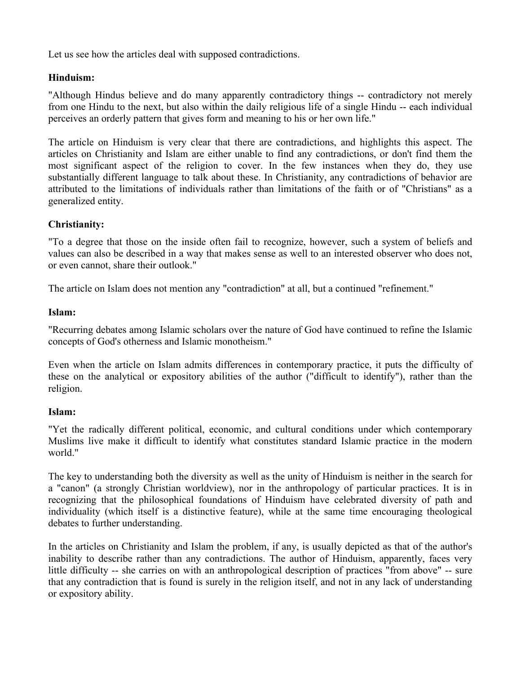Let us see how the articles deal with supposed contradictions.

### **Hinduism:**

"Although Hindus believe and do many apparently contradictory things -- contradictory not merely from one Hindu to the next, but also within the daily religious life of a single Hindu -- each individual perceives an orderly pattern that gives form and meaning to his or her own life."

The article on Hinduism is very clear that there are contradictions, and highlights this aspect. The articles on Christianity and Islam are either unable to find any contradictions, or don't find them the most significant aspect of the religion to cover. In the few instances when they do, they use substantially different language to talk about these. In Christianity, any contradictions of behavior are attributed to the limitations of individuals rather than limitations of the faith or of "Christians" as a generalized entity.

#### **Christianity:**

"To a degree that those on the inside often fail to recognize, however, such a system of beliefs and values can also be described in a way that makes sense as well to an interested observer who does not, or even cannot, share their outlook."

The article on Islam does not mention any "contradiction" at all, but a continued "refinement."

#### **Islam:**

"Recurring debates among Islamic scholars over the nature of God have continued to refine the Islamic concepts of God's otherness and Islamic monotheism."

Even when the article on Islam admits differences in contemporary practice, it puts the difficulty of these on the analytical or expository abilities of the author ("difficult to identify"), rather than the religion.

#### **Islam:**

"Yet the radically different political, economic, and cultural conditions under which contemporary Muslims live make it difficult to identify what constitutes standard Islamic practice in the modern world."

The key to understanding both the diversity as well as the unity of Hinduism is neither in the search for a "canon" (a strongly Christian worldview), nor in the anthropology of particular practices. It is in recognizing that the philosophical foundations of Hinduism have celebrated diversity of path and individuality (which itself is a distinctive feature), while at the same time encouraging theological debates to further understanding.

In the articles on Christianity and Islam the problem, if any, is usually depicted as that of the author's inability to describe rather than any contradictions. The author of Hinduism, apparently, faces very little difficulty -- she carries on with an anthropological description of practices "from above" -- sure that any contradiction that is found is surely in the religion itself, and not in any lack of understanding or expository ability.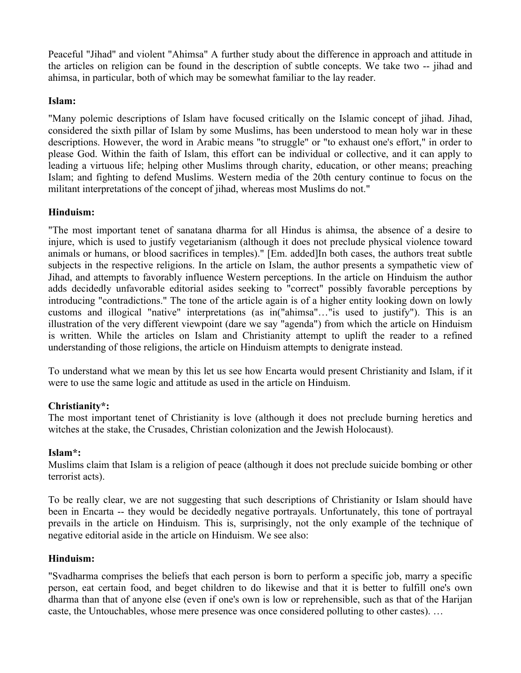Peaceful "Jihad" and violent "Ahimsa" A further study about the difference in approach and attitude in the articles on religion can be found in the description of subtle concepts. We take two -- jihad and ahimsa, in particular, both of which may be somewhat familiar to the lay reader.

#### **Islam:**

"Many polemic descriptions of Islam have focused critically on the Islamic concept of jihad. Jihad, considered the sixth pillar of Islam by some Muslims, has been understood to mean holy war in these descriptions. However, the word in Arabic means "to struggle" or "to exhaust one's effort," in order to please God. Within the faith of Islam, this effort can be individual or collective, and it can apply to leading a virtuous life; helping other Muslims through charity, education, or other means; preaching Islam; and fighting to defend Muslims. Western media of the 20th century continue to focus on the militant interpretations of the concept of jihad, whereas most Muslims do not."

### **Hinduism:**

"The most important tenet of sanatana dharma for all Hindus is ahimsa, the absence of a desire to injure, which is used to justify vegetarianism (although it does not preclude physical violence toward animals or humans, or blood sacrifices in temples)." [Em. added]In both cases, the authors treat subtle subjects in the respective religions. In the article on Islam, the author presents a sympathetic view of Jihad, and attempts to favorably influence Western perceptions. In the article on Hinduism the author adds decidedly unfavorable editorial asides seeking to "correct" possibly favorable perceptions by introducing "contradictions." The tone of the article again is of a higher entity looking down on lowly customs and illogical "native" interpretations (as in("ahimsa"…"is used to justify"). This is an illustration of the very different viewpoint (dare we say "agenda") from which the article on Hinduism is written. While the articles on Islam and Christianity attempt to uplift the reader to a refined understanding of those religions, the article on Hinduism attempts to denigrate instead.

To understand what we mean by this let us see how Encarta would present Christianity and Islam, if it were to use the same logic and attitude as used in the article on Hinduism.

#### **Christianity\*:**

The most important tenet of Christianity is love (although it does not preclude burning heretics and witches at the stake, the Crusades, Christian colonization and the Jewish Holocaust).

#### **Islam\*:**

Muslims claim that Islam is a religion of peace (although it does not preclude suicide bombing or other terrorist acts).

To be really clear, we are not suggesting that such descriptions of Christianity or Islam should have been in Encarta -- they would be decidedly negative portrayals. Unfortunately, this tone of portrayal prevails in the article on Hinduism. This is, surprisingly, not the only example of the technique of negative editorial aside in the article on Hinduism. We see also:

#### **Hinduism:**

"Svadharma comprises the beliefs that each person is born to perform a specific job, marry a specific person, eat certain food, and beget children to do likewise and that it is better to fulfill one's own dharma than that of anyone else (even if one's own is low or reprehensible, such as that of the Harijan caste, the Untouchables, whose mere presence was once considered polluting to other castes). …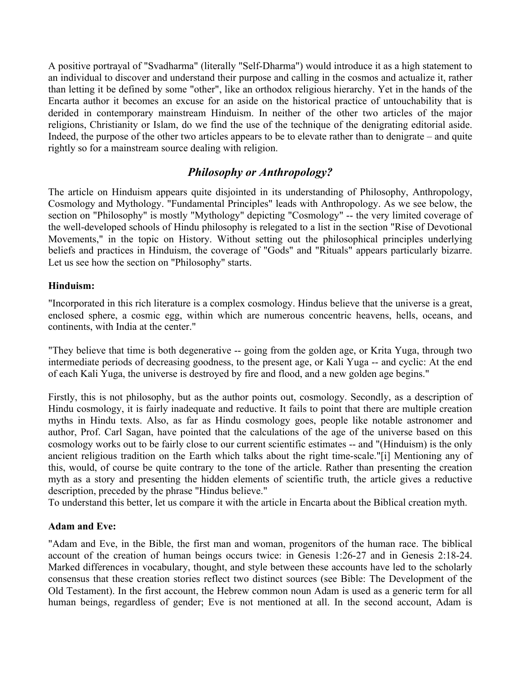A positive portrayal of "Svadharma" (literally "Self-Dharma") would introduce it as a high statement to an individual to discover and understand their purpose and calling in the cosmos and actualize it, rather than letting it be defined by some "other", like an orthodox religious hierarchy. Yet in the hands of the Encarta author it becomes an excuse for an aside on the historical practice of untouchability that is derided in contemporary mainstream Hinduism. In neither of the other two articles of the major religions, Christianity or Islam, do we find the use of the technique of the denigrating editorial aside. Indeed, the purpose of the other two articles appears to be to elevate rather than to denigrate – and quite rightly so for a mainstream source dealing with religion.

# *Philosophy or Anthropology?*

The article on Hinduism appears quite disjointed in its understanding of Philosophy, Anthropology, Cosmology and Mythology. "Fundamental Principles" leads with Anthropology. As we see below, the section on "Philosophy" is mostly "Mythology" depicting "Cosmology" -- the very limited coverage of the well-developed schools of Hindu philosophy is relegated to a list in the section "Rise of Devotional Movements," in the topic on History. Without setting out the philosophical principles underlying beliefs and practices in Hinduism, the coverage of "Gods" and "Rituals" appears particularly bizarre. Let us see how the section on "Philosophy" starts.

#### **Hinduism:**

"Incorporated in this rich literature is a complex cosmology. Hindus believe that the universe is a great, enclosed sphere, a cosmic egg, within which are numerous concentric heavens, hells, oceans, and continents, with India at the center."

"They believe that time is both degenerative -- going from the golden age, or Krita Yuga, through two intermediate periods of decreasing goodness, to the present age, or Kali Yuga -- and cyclic: At the end of each Kali Yuga, the universe is destroyed by fire and flood, and a new golden age begins."

Firstly, this is not philosophy, but as the author points out, cosmology. Secondly, as a description of Hindu cosmology, it is fairly inadequate and reductive. It fails to point that there are multiple creation myths in Hindu texts. Also, as far as Hindu cosmology goes, people like notable astronomer and author, Prof. Carl Sagan, have pointed that the calculations of the age of the universe based on this cosmology works out to be fairly close to our current scientific estimates -- and "(Hinduism) is the only ancient religious tradition on the Earth which talks about the right time-scale."[i] Mentioning any of this, would, of course be quite contrary to the tone of the article. Rather than presenting the creation myth as a story and presenting the hidden elements of scientific truth, the article gives a reductive description, preceded by the phrase "Hindus believe."

To understand this better, let us compare it with the article in Encarta about the Biblical creation myth.

#### **Adam and Eve:**

"Adam and Eve, in the Bible, the first man and woman, progenitors of the human race. The biblical account of the creation of human beings occurs twice: in Genesis 1:26-27 and in Genesis 2:18-24. Marked differences in vocabulary, thought, and style between these accounts have led to the scholarly consensus that these creation stories reflect two distinct sources (see Bible: The Development of the Old Testament). In the first account, the Hebrew common noun Adam is used as a generic term for all human beings, regardless of gender; Eve is not mentioned at all. In the second account, Adam is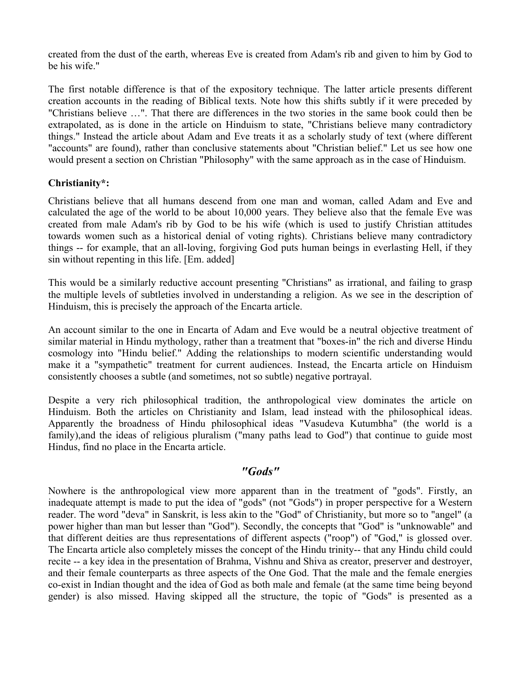created from the dust of the earth, whereas Eve is created from Adam's rib and given to him by God to be his wife."

The first notable difference is that of the expository technique. The latter article presents different creation accounts in the reading of Biblical texts. Note how this shifts subtly if it were preceded by "Christians believe …". That there are differences in the two stories in the same book could then be extrapolated, as is done in the article on Hinduism to state, "Christians believe many contradictory things." Instead the article about Adam and Eve treats it as a scholarly study of text (where different "accounts" are found), rather than conclusive statements about "Christian belief." Let us see how one would present a section on Christian "Philosophy" with the same approach as in the case of Hinduism.

#### **Christianity\*:**

Christians believe that all humans descend from one man and woman, called Adam and Eve and calculated the age of the world to be about 10,000 years. They believe also that the female Eve was created from male Adam's rib by God to be his wife (which is used to justify Christian attitudes towards women such as a historical denial of voting rights). Christians believe many contradictory things -- for example, that an all-loving, forgiving God puts human beings in everlasting Hell, if they sin without repenting in this life. [Em. added]

This would be a similarly reductive account presenting "Christians" as irrational, and failing to grasp the multiple levels of subtleties involved in understanding a religion. As we see in the description of Hinduism, this is precisely the approach of the Encarta article.

An account similar to the one in Encarta of Adam and Eve would be a neutral objective treatment of similar material in Hindu mythology, rather than a treatment that "boxes-in" the rich and diverse Hindu cosmology into "Hindu belief." Adding the relationships to modern scientific understanding would make it a "sympathetic" treatment for current audiences. Instead, the Encarta article on Hinduism consistently chooses a subtle (and sometimes, not so subtle) negative portrayal.

Despite a very rich philosophical tradition, the anthropological view dominates the article on Hinduism. Both the articles on Christianity and Islam, lead instead with the philosophical ideas. Apparently the broadness of Hindu philosophical ideas "Vasudeva Kutumbha" (the world is a family),and the ideas of religious pluralism ("many paths lead to God") that continue to guide most Hindus, find no place in the Encarta article.

#### *"Gods"*

Nowhere is the anthropological view more apparent than in the treatment of "gods". Firstly, an inadequate attempt is made to put the idea of "gods" (not "Gods") in proper perspective for a Western reader. The word "deva" in Sanskrit, is less akin to the "God" of Christianity, but more so to "angel" (a power higher than man but lesser than "God"). Secondly, the concepts that "God" is "unknowable" and that different deities are thus representations of different aspects ("roop") of "God," is glossed over. The Encarta article also completely misses the concept of the Hindu trinity-- that any Hindu child could recite -- a key idea in the presentation of Brahma, Vishnu and Shiva as creator, preserver and destroyer, and their female counterparts as three aspects of the One God. That the male and the female energies co-exist in Indian thought and the idea of God as both male and female (at the same time being beyond gender) is also missed. Having skipped all the structure, the topic of "Gods" is presented as a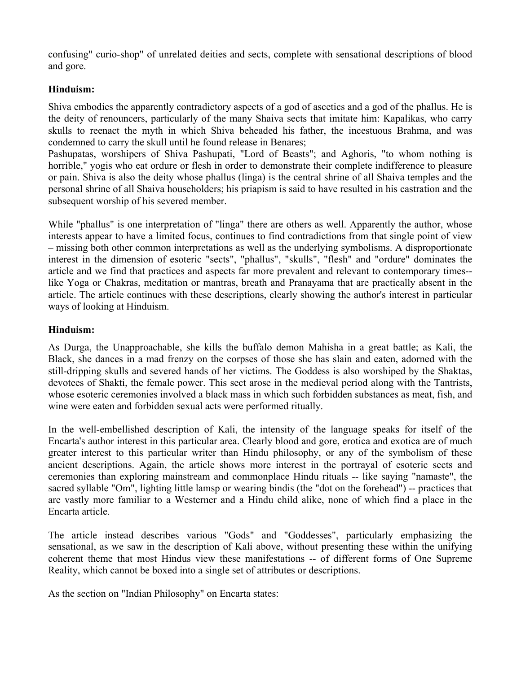confusing" curio-shop" of unrelated deities and sects, complete with sensational descriptions of blood and gore.

#### **Hinduism:**

Shiva embodies the apparently contradictory aspects of a god of ascetics and a god of the phallus. He is the deity of renouncers, particularly of the many Shaiva sects that imitate him: Kapalikas, who carry skulls to reenact the myth in which Shiva beheaded his father, the incestuous Brahma, and was condemned to carry the skull until he found release in Benares;

Pashupatas, worshipers of Shiva Pashupati, "Lord of Beasts"; and Aghoris, "to whom nothing is horrible," yogis who eat ordure or flesh in order to demonstrate their complete indifference to pleasure or pain. Shiva is also the deity whose phallus (linga) is the central shrine of all Shaiva temples and the personal shrine of all Shaiva householders; his priapism is said to have resulted in his castration and the subsequent worship of his severed member.

While "phallus" is one interpretation of "linga" there are others as well. Apparently the author, whose interests appear to have a limited focus, continues to find contradictions from that single point of view – missing both other common interpretations as well as the underlying symbolisms. A disproportionate interest in the dimension of esoteric "sects", "phallus", "skulls", "flesh" and "ordure" dominates the article and we find that practices and aspects far more prevalent and relevant to contemporary times- like Yoga or Chakras, meditation or mantras, breath and Pranayama that are practically absent in the article. The article continues with these descriptions, clearly showing the author's interest in particular ways of looking at Hinduism.

### **Hinduism:**

As Durga, the Unapproachable, she kills the buffalo demon Mahisha in a great battle; as Kali, the Black, she dances in a mad frenzy on the corpses of those she has slain and eaten, adorned with the still-dripping skulls and severed hands of her victims. The Goddess is also worshiped by the Shaktas, devotees of Shakti, the female power. This sect arose in the medieval period along with the Tantrists, whose esoteric ceremonies involved a black mass in which such forbidden substances as meat, fish, and wine were eaten and forbidden sexual acts were performed ritually.

In the well-embellished description of Kali, the intensity of the language speaks for itself of the Encarta's author interest in this particular area. Clearly blood and gore, erotica and exotica are of much greater interest to this particular writer than Hindu philosophy, or any of the symbolism of these ancient descriptions. Again, the article shows more interest in the portrayal of esoteric sects and ceremonies than exploring mainstream and commonplace Hindu rituals -- like saying "namaste", the sacred syllable "Om", lighting little lamsp or wearing bindis (the "dot on the forehead") -- practices that are vastly more familiar to a Westerner and a Hindu child alike, none of which find a place in the Encarta article.

The article instead describes various "Gods" and "Goddesses", particularly emphasizing the sensational, as we saw in the description of Kali above, without presenting these within the unifying coherent theme that most Hindus view these manifestations -- of different forms of One Supreme Reality, which cannot be boxed into a single set of attributes or descriptions.

As the section on "Indian Philosophy" on Encarta states: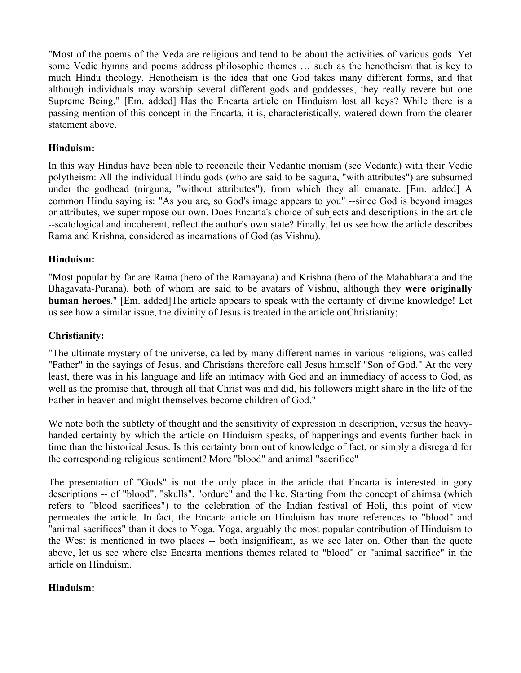"Most of the poems of the Veda are religious and tend to be about the activities of various gods. Yet some Vedic hymns and poems address philosophic themes … such as the henotheism that is key to much Hindu theology. Henotheism is the idea that one God takes many different forms, and that although individuals may worship several different gods and goddesses, they really revere but one Supreme Being." [Em. added] Has the Encarta article on Hinduism lost all keys? While there is a passing mention of this concept in the Encarta, it is, characteristically, watered down from the clearer statement above.

#### **Hinduism:**

In this way Hindus have been able to reconcile their Vedantic monism (see Vedanta) with their Vedic polytheism: All the individual Hindu gods (who are said to be saguna, "with attributes") are subsumed under the godhead (nirguna, "without attributes"), from which they all emanate. [Em. added] A common Hindu saying is: "As you are, so God's image appears to you" --since God is beyond images or attributes, we superimpose our own. Does Encarta's choice of subjects and descriptions in the article --scatological and incoherent, reflect the author's own state? Finally, let us see how the article describes Rama and Krishna, considered as incarnations of God (as Vishnu).

#### **Hinduism:**

"Most popular by far are Rama (hero of the Ramayana) and Krishna (hero of the Mahabharata and the Bhagavata-Purana), both of whom are said to be avatars of Vishnu, although they **were originally human heroes**." [Em. added]The article appears to speak with the certainty of divine knowledge! Let us see how a similar issue, the divinity of Jesus is treated in the article onChristianity;

#### **Christianity:**

"The ultimate mystery of the universe, called by many different names in various religions, was called "Father" in the sayings of Jesus, and Christians therefore call Jesus himself "Son of God." At the very least, there was in his language and life an intimacy with God and an immediacy of access to God, as well as the promise that, through all that Christ was and did, his followers might share in the life of the Father in heaven and might themselves become children of God."

We note both the subtlety of thought and the sensitivity of expression in description, versus the heavyhanded certainty by which the article on Hinduism speaks, of happenings and events further back in time than the historical Jesus. Is this certainty born out of knowledge of fact, or simply a disregard for the corresponding religious sentiment? More "blood" and animal "sacrifice"

The presentation of "Gods" is not the only place in the article that Encarta is interested in gory descriptions -- of "blood", "skulls", "ordure" and the like. Starting from the concept of ahimsa (which refers to "blood sacrifices") to the celebration of the Indian festival of Holi, this point of view permeates the article. In fact, the Encarta article on Hinduism has more references to "blood" and "animal sacrifices" than it does to Yoga. Yoga, arguably the most popular contribution of Hinduism to the West is mentioned in two places -- both insignificant, as we see later on. Other than the quote above, let us see where else Encarta mentions themes related to "blood" or "animal sacrifice" in the article on Hinduism.

#### **Hinduism:**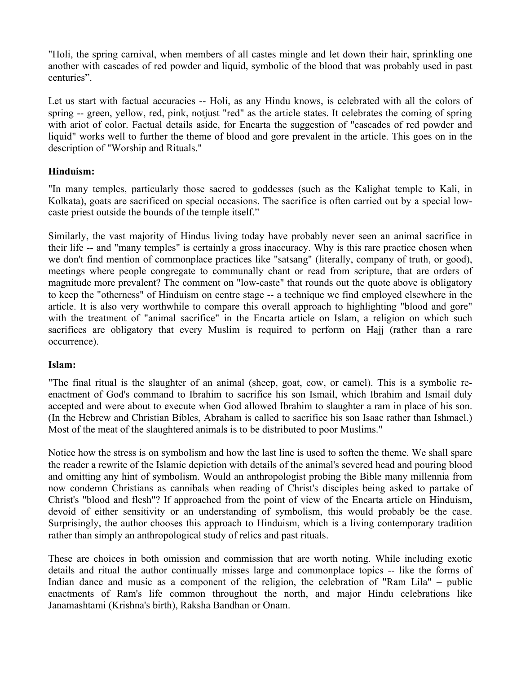"Holi, the spring carnival, when members of all castes mingle and let down their hair, sprinkling one another with cascades of red powder and liquid, symbolic of the blood that was probably used in past centuries".

Let us start with factual accuracies -- Holi, as any Hindu knows, is celebrated with all the colors of spring -- green, yellow, red, pink, notjust "red" as the article states. It celebrates the coming of spring with ariot of color. Factual details aside, for Encarta the suggestion of "cascades of red powder and liquid" works well to further the theme of blood and gore prevalent in the article. This goes on in the description of "Worship and Rituals."

#### **Hinduism:**

"In many temples, particularly those sacred to goddesses (such as the Kalighat temple to Kali, in Kolkata), goats are sacrificed on special occasions. The sacrifice is often carried out by a special lowcaste priest outside the bounds of the temple itself."

Similarly, the vast majority of Hindus living today have probably never seen an animal sacrifice in their life -- and "many temples" is certainly a gross inaccuracy. Why is this rare practice chosen when we don't find mention of commonplace practices like "satsang" (literally, company of truth, or good), meetings where people congregate to communally chant or read from scripture, that are orders of magnitude more prevalent? The comment on "low-caste" that rounds out the quote above is obligatory to keep the "otherness" of Hinduism on centre stage -- a technique we find employed elsewhere in the article. It is also very worthwhile to compare this overall approach to highlighting "blood and gore" with the treatment of "animal sacrifice" in the Encarta article on Islam, a religion on which such sacrifices are obligatory that every Muslim is required to perform on Hajj (rather than a rare occurrence).

#### **Islam:**

"The final ritual is the slaughter of an animal (sheep, goat, cow, or camel). This is a symbolic reenactment of God's command to Ibrahim to sacrifice his son Ismail, which Ibrahim and Ismail duly accepted and were about to execute when God allowed Ibrahim to slaughter a ram in place of his son. (In the Hebrew and Christian Bibles, Abraham is called to sacrifice his son Isaac rather than Ishmael.) Most of the meat of the slaughtered animals is to be distributed to poor Muslims."

Notice how the stress is on symbolism and how the last line is used to soften the theme. We shall spare the reader a rewrite of the Islamic depiction with details of the animal's severed head and pouring blood and omitting any hint of symbolism. Would an anthropologist probing the Bible many millennia from now condemn Christians as cannibals when reading of Christ's disciples being asked to partake of Christ's "blood and flesh"? If approached from the point of view of the Encarta article on Hinduism, devoid of either sensitivity or an understanding of symbolism, this would probably be the case. Surprisingly, the author chooses this approach to Hinduism, which is a living contemporary tradition rather than simply an anthropological study of relics and past rituals.

These are choices in both omission and commission that are worth noting. While including exotic details and ritual the author continually misses large and commonplace topics -- like the forms of Indian dance and music as a component of the religion, the celebration of "Ram Lila" – public enactments of Ram's life common throughout the north, and major Hindu celebrations like Janamashtami (Krishna's birth), Raksha Bandhan or Onam.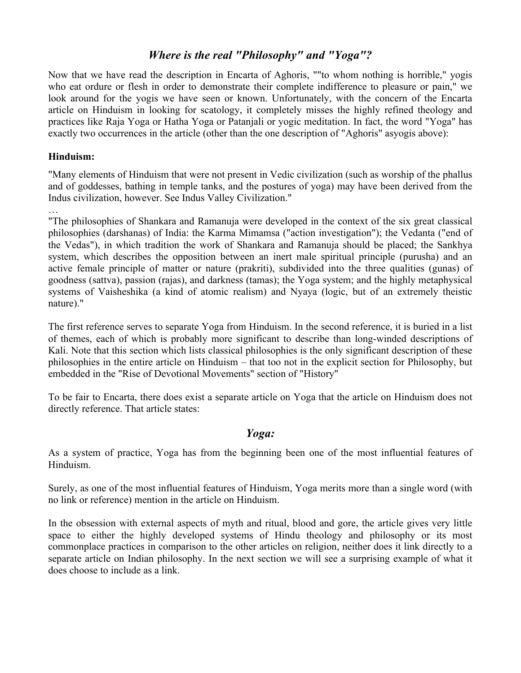# *Where is the real "Philosophy" and "Yoga"?*

Now that we have read the description in Encarta of Aghoris, ""to whom nothing is horrible," yogis who eat ordure or flesh in order to demonstrate their complete indifference to pleasure or pain," we look around for the yogis we have seen or known. Unfortunately, with the concern of the Encarta article on Hinduism in looking for scatology, it completely misses the highly refined theology and practices like Raja Yoga or Hatha Yoga or Patanjali or yogic meditation. In fact, the word "Yoga" has exactly two occurrences in the article (other than the one description of "Aghoris" asyogis above):

#### **Hinduism:**

"Many elements of Hinduism that were not present in Vedic civilization (such as worship of the phallus and of goddesses, bathing in temple tanks, and the postures of yoga) may have been derived from the Indus civilization, however. See Indus Valley Civilization."

…

"The philosophies of Shankara and Ramanuja were developed in the context of the six great classical philosophies (darshanas) of India: the Karma Mimamsa ("action investigation"); the Vedanta ("end of the Vedas"), in which tradition the work of Shankara and Ramanuja should be placed; the Sankhya system, which describes the opposition between an inert male spiritual principle (purusha) and an active female principle of matter or nature (prakriti), subdivided into the three qualities (gunas) of goodness (sattva), passion (rajas), and darkness (tamas); the Yoga system; and the highly metaphysical systems of Vaisheshika (a kind of atomic realism) and Nyaya (logic, but of an extremely theistic nature)."

The first reference serves to separate Yoga from Hinduism. In the second reference, it is buried in a list of themes, each of which is probably more significant to describe than long-winded descriptions of Kali. Note that this section which lists classical philosophies is the only significant description of these philosophies in the entire article on Hinduism – that too not in the explicit section for Philosophy, but embedded in the "Rise of Devotional Movements" section of "History"

To be fair to Encarta, there does exist a separate article on Yoga that the article on Hinduism does not directly reference. That article states:

# *Yoga:*

As a system of practice, Yoga has from the beginning been one of the most influential features of Hinduism.

Surely, as one of the most influential features of Hinduism, Yoga merits more than a single word (with no link or reference) mention in the article on Hinduism.

In the obsession with external aspects of myth and ritual, blood and gore, the article gives very little space to either the highly developed systems of Hindu theology and philosophy or its most commonplace practices in comparison to the other articles on religion, neither does it link directly to a separate article on Indian philosophy. In the next section we will see a surprising example of what it does choose to include as a link.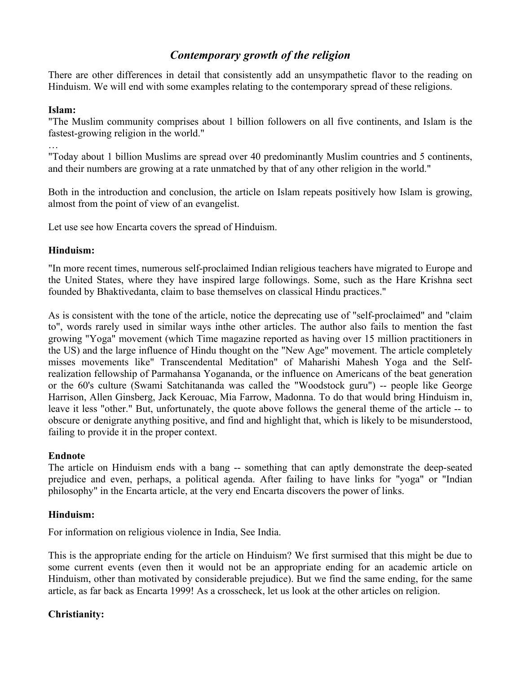# *Contemporary growth of the religion*

There are other differences in detail that consistently add an unsympathetic flavor to the reading on Hinduism. We will end with some examples relating to the contemporary spread of these religions.

#### **Islam:**

"The Muslim community comprises about 1 billion followers on all five continents, and Islam is the fastest-growing religion in the world."

…

"Today about 1 billion Muslims are spread over 40 predominantly Muslim countries and 5 continents, and their numbers are growing at a rate unmatched by that of any other religion in the world."

Both in the introduction and conclusion, the article on Islam repeats positively how Islam is growing, almost from the point of view of an evangelist.

Let use see how Encarta covers the spread of Hinduism.

#### **Hinduism:**

"In more recent times, numerous self-proclaimed Indian religious teachers have migrated to Europe and the United States, where they have inspired large followings. Some, such as the Hare Krishna sect founded by Bhaktivedanta, claim to base themselves on classical Hindu practices."

As is consistent with the tone of the article, notice the deprecating use of "self-proclaimed" and "claim to", words rarely used in similar ways inthe other articles. The author also fails to mention the fast growing "Yoga" movement (which Time magazine reported as having over 15 million practitioners in the US) and the large influence of Hindu thought on the "New Age" movement. The article completely misses movements like" Transcendental Meditation" of Maharishi Mahesh Yoga and the Selfrealization fellowship of Parmahansa Yogananda, or the influence on Americans of the beat generation or the 60's culture (Swami Satchitananda was called the "Woodstock guru") -- people like George Harrison, Allen Ginsberg, Jack Kerouac, Mia Farrow, Madonna. To do that would bring Hinduism in, leave it less "other." But, unfortunately, the quote above follows the general theme of the article -- to obscure or denigrate anything positive, and find and highlight that, which is likely to be misunderstood, failing to provide it in the proper context.

#### **Endnote**

The article on Hinduism ends with a bang -- something that can aptly demonstrate the deep-seated prejudice and even, perhaps, a political agenda. After failing to have links for "yoga" or "Indian philosophy" in the Encarta article, at the very end Encarta discovers the power of links.

#### **Hinduism:**

For information on religious violence in India, See India.

This is the appropriate ending for the article on Hinduism? We first surmised that this might be due to some current events (even then it would not be an appropriate ending for an academic article on Hinduism, other than motivated by considerable prejudice). But we find the same ending, for the same article, as far back as Encarta 1999! As a crosscheck, let us look at the other articles on religion.

#### **Christianity:**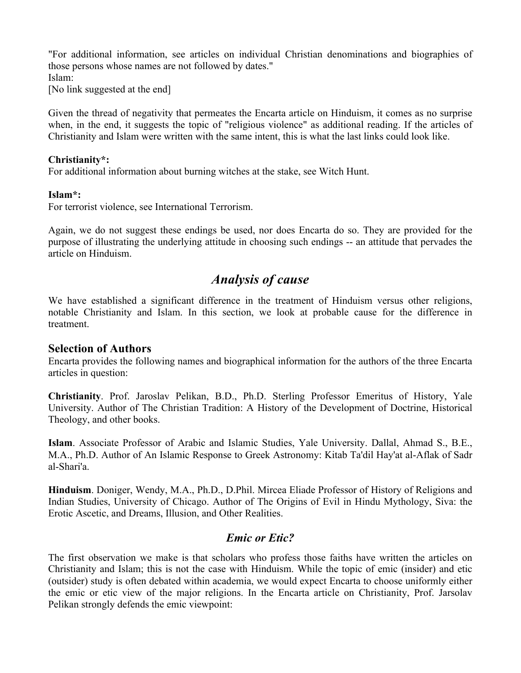"For additional information, see articles on individual Christian denominations and biographies of those persons whose names are not followed by dates." Islam:

[No link suggested at the end]

Given the thread of negativity that permeates the Encarta article on Hinduism, it comes as no surprise when, in the end, it suggests the topic of "religious violence" as additional reading. If the articles of Christianity and Islam were written with the same intent, this is what the last links could look like.

#### **Christianity\*:**

For additional information about burning witches at the stake, see Witch Hunt.

#### **Islam\*:**

For terrorist violence, see International Terrorism.

Again, we do not suggest these endings be used, nor does Encarta do so. They are provided for the purpose of illustrating the underlying attitude in choosing such endings -- an attitude that pervades the article on Hinduism.

# *Analysis of cause*

We have established a significant difference in the treatment of Hinduism versus other religions, notable Christianity and Islam. In this section, we look at probable cause for the difference in treatment.

#### **Selection of Authors**

Encarta provides the following names and biographical information for the authors of the three Encarta articles in question:

**Christianity**. Prof. Jaroslav Pelikan, B.D., Ph.D. Sterling Professor Emeritus of History, Yale University. Author of The Christian Tradition: A History of the Development of Doctrine, Historical Theology, and other books.

**Islam**. Associate Professor of Arabic and Islamic Studies, Yale University. Dallal, Ahmad S., B.E., M.A., Ph.D. Author of An Islamic Response to Greek Astronomy: Kitab Ta'dil Hay'at al-Aflak of Sadr al-Shari'a.

**Hinduism**. Doniger, Wendy, M.A., Ph.D., D.Phil. Mircea Eliade Professor of History of Religions and Indian Studies, University of Chicago. Author of The Origins of Evil in Hindu Mythology, Siva: the Erotic Ascetic, and Dreams, Illusion, and Other Realities.

# *Emic or Etic?*

The first observation we make is that scholars who profess those faiths have written the articles on Christianity and Islam; this is not the case with Hinduism. While the topic of emic (insider) and etic (outsider) study is often debated within academia, we would expect Encarta to choose uniformly either the emic or etic view of the major religions. In the Encarta article on Christianity, Prof. Jarsolav Pelikan strongly defends the emic viewpoint: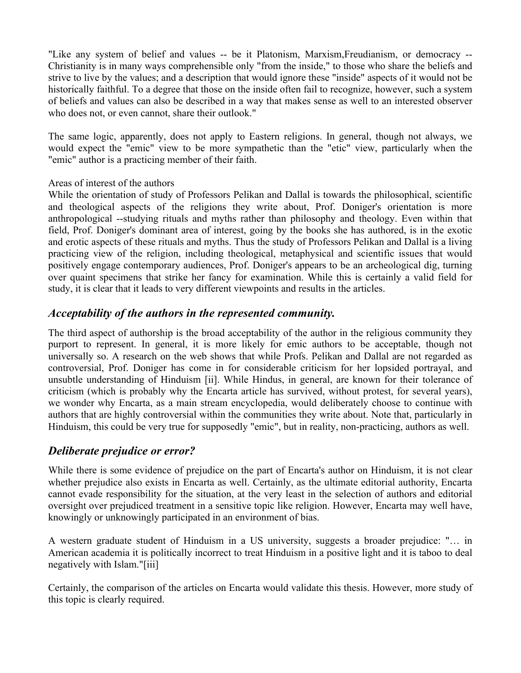"Like any system of belief and values -- be it Platonism, Marxism,Freudianism, or democracy -- Christianity is in many ways comprehensible only "from the inside," to those who share the beliefs and strive to live by the values; and a description that would ignore these "inside" aspects of it would not be historically faithful. To a degree that those on the inside often fail to recognize, however, such a system of beliefs and values can also be described in a way that makes sense as well to an interested observer who does not, or even cannot, share their outlook."

The same logic, apparently, does not apply to Eastern religions. In general, though not always, we would expect the "emic" view to be more sympathetic than the "etic" view, particularly when the "emic" author is a practicing member of their faith.

#### Areas of interest of the authors

While the orientation of study of Professors Pelikan and Dallal is towards the philosophical, scientific and theological aspects of the religions they write about, Prof. Doniger's orientation is more anthropological --studying rituals and myths rather than philosophy and theology. Even within that field, Prof. Doniger's dominant area of interest, going by the books she has authored, is in the exotic and erotic aspects of these rituals and myths. Thus the study of Professors Pelikan and Dallal is a living practicing view of the religion, including theological, metaphysical and scientific issues that would positively engage contemporary audiences, Prof. Doniger's appears to be an archeological dig, turning over quaint specimens that strike her fancy for examination. While this is certainly a valid field for study, it is clear that it leads to very different viewpoints and results in the articles.

# *Acceptability of the authors in the represented community.*

The third aspect of authorship is the broad acceptability of the author in the religious community they purport to represent. In general, it is more likely for emic authors to be acceptable, though not universally so. A research on the web shows that while Profs. Pelikan and Dallal are not regarded as controversial, Prof. Doniger has come in for considerable criticism for her lopsided portrayal, and unsubtle understanding of Hinduism [ii]. While Hindus, in general, are known for their tolerance of criticism (which is probably why the Encarta article has survived, without protest, for several years), we wonder why Encarta, as a main stream encyclopedia, would deliberately choose to continue with authors that are highly controversial within the communities they write about. Note that, particularly in Hinduism, this could be very true for supposedly "emic", but in reality, non-practicing, authors as well.

# *Deliberate prejudice or error?*

While there is some evidence of prejudice on the part of Encarta's author on Hinduism, it is not clear whether prejudice also exists in Encarta as well. Certainly, as the ultimate editorial authority, Encarta cannot evade responsibility for the situation, at the very least in the selection of authors and editorial oversight over prejudiced treatment in a sensitive topic like religion. However, Encarta may well have, knowingly or unknowingly participated in an environment of bias.

A western graduate student of Hinduism in a US university, suggests a broader prejudice: "… in American academia it is politically incorrect to treat Hinduism in a positive light and it is taboo to deal negatively with Islam."[iii]

Certainly, the comparison of the articles on Encarta would validate this thesis. However, more study of this topic is clearly required.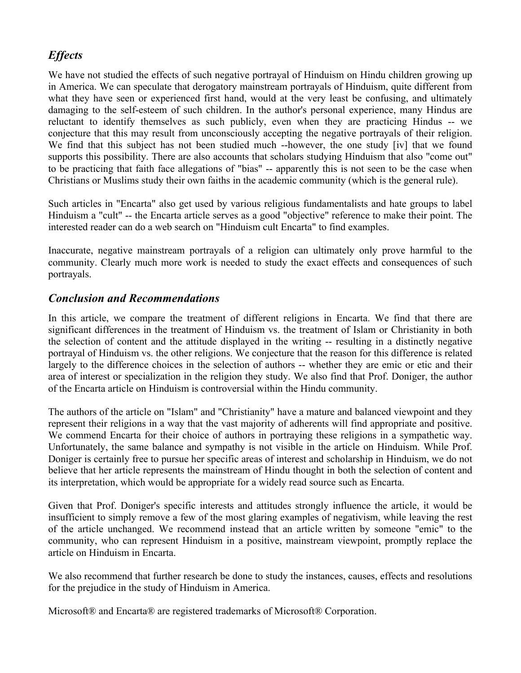# *Effects*

We have not studied the effects of such negative portrayal of Hinduism on Hindu children growing up in America. We can speculate that derogatory mainstream portrayals of Hinduism, quite different from what they have seen or experienced first hand, would at the very least be confusing, and ultimately damaging to the self-esteem of such children. In the author's personal experience, many Hindus are reluctant to identify themselves as such publicly, even when they are practicing Hindus -- we conjecture that this may result from unconsciously accepting the negative portrayals of their religion. We find that this subject has not been studied much --however, the one study [iv] that we found supports this possibility. There are also accounts that scholars studying Hinduism that also "come out" to be practicing that faith face allegations of "bias" -- apparently this is not seen to be the case when Christians or Muslims study their own faiths in the academic community (which is the general rule).

Such articles in "Encarta" also get used by various religious fundamentalists and hate groups to label Hinduism a "cult" -- the Encarta article serves as a good "objective" reference to make their point. The interested reader can do a web search on "Hinduism cult Encarta" to find examples.

Inaccurate, negative mainstream portrayals of a religion can ultimately only prove harmful to the community. Clearly much more work is needed to study the exact effects and consequences of such portrayals.

# *Conclusion and Recommendations*

In this article, we compare the treatment of different religions in Encarta. We find that there are significant differences in the treatment of Hinduism vs. the treatment of Islam or Christianity in both the selection of content and the attitude displayed in the writing -- resulting in a distinctly negative portrayal of Hinduism vs. the other religions. We conjecture that the reason for this difference is related largely to the difference choices in the selection of authors -- whether they are emic or etic and their area of interest or specialization in the religion they study. We also find that Prof. Doniger, the author of the Encarta article on Hinduism is controversial within the Hindu community.

The authors of the article on "Islam" and "Christianity" have a mature and balanced viewpoint and they represent their religions in a way that the vast majority of adherents will find appropriate and positive. We commend Encarta for their choice of authors in portraying these religions in a sympathetic way. Unfortunately, the same balance and sympathy is not visible in the article on Hinduism. While Prof. Doniger is certainly free to pursue her specific areas of interest and scholarship in Hinduism, we do not believe that her article represents the mainstream of Hindu thought in both the selection of content and its interpretation, which would be appropriate for a widely read source such as Encarta.

Given that Prof. Doniger's specific interests and attitudes strongly influence the article, it would be insufficient to simply remove a few of the most glaring examples of negativism, while leaving the rest of the article unchanged. We recommend instead that an article written by someone "emic" to the community, who can represent Hinduism in a positive, mainstream viewpoint, promptly replace the article on Hinduism in Encarta.

We also recommend that further research be done to study the instances, causes, effects and resolutions for the prejudice in the study of Hinduism in America.

Microsoft® and Encarta® are registered trademarks of Microsoft® Corporation.